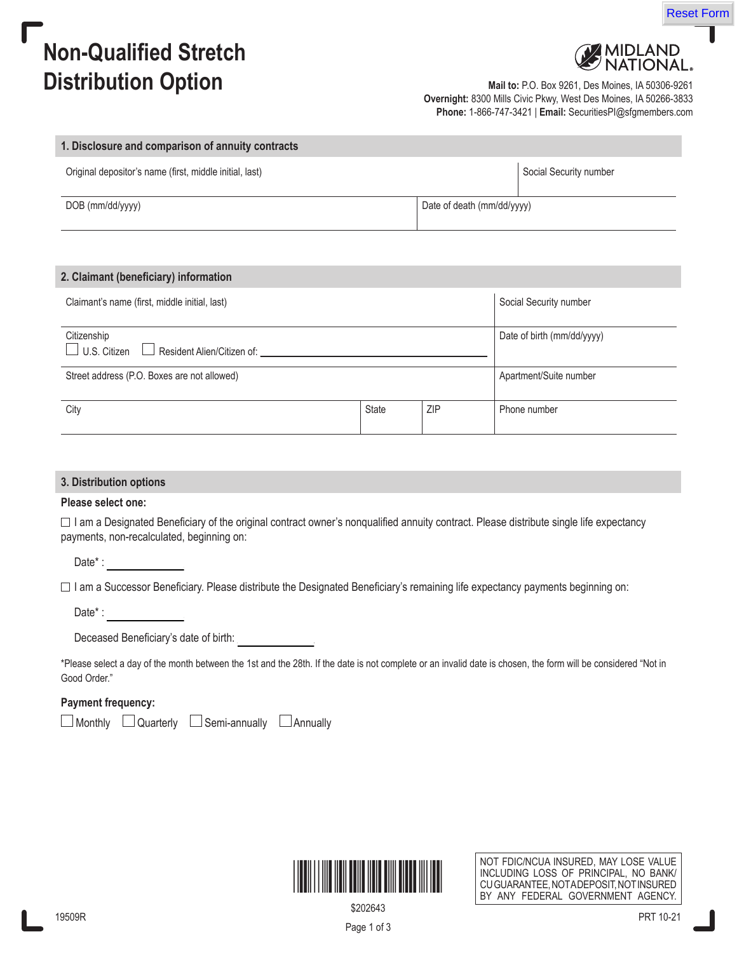# **Non-Qualified Stretch Distribution Option Mail to: P.O. Box 9261, Des Moines, IA 50306-9261**

**MIDLAND**<br>NATIONAL

Reset Form

**Overnight:** 8300 Mills Civic Pkwy, West Des Moines, IA 50266-3833 **Phone:** 1-866-747-3421 | **Email:** SecuritiesPI@sfgmembers.com

| 1. Disclosure and comparison of annuity contracts       |                            |
|---------------------------------------------------------|----------------------------|
| Original depositor's name (first, middle initial, last) | Social Security number     |
| DOB (mm/dd/yyyy)                                        | Date of death (mm/dd/yyyy) |
|                                                         |                            |
| 2. Claimant (beneficiary) information                   |                            |
|                                                         |                            |

| Claimant's name (first, middle initial, last)                    |              |     | Social Security number     |
|------------------------------------------------------------------|--------------|-----|----------------------------|
| Citizenship<br>$\Box$ U.S. Citizen<br>Resident Alien/Citizen of: |              |     | Date of birth (mm/dd/yyyy) |
| Street address (P.O. Boxes are not allowed)                      |              |     | Apartment/Suite number     |
| City                                                             | <b>State</b> | ZIP | Phone number               |

# **3. Distribution options**

# **Please select one:**

 $\Box$  I am a Designated Beneficiary of the original contract owner's nonqualified annuity contract. Please distribute single life expectancy payments, non-recalculated, beginning on:

Date\* :

 $\Box$  I am a Successor Beneficiary. Please distribute the Designated Beneficiary's remaining life expectancy payments beginning on:

Date\* :

Deceased Beneficiary's date of birth:

\*Please select a day of the month between the 1st and the 28th. If the date is not complete or an invalid date is chosen, the form will be considered "Not in Good Order."

# **Payment frequency:**

 $\Box$  Monthly  $\Box$  Quarterly  $\Box$  Semi-annually  $\Box$  Annually



NOT FDIC/NCUA INSURED, MAY LOSE VALUE INCLUDING LOSS OF PRINCIPAL, NO BANK/ CU GUARANTEE, NOTADEPOSIT, NOT INSURED BY ANY FEDERAL GOVERNMENT AGENCY.

\$202643

Page 1 of 3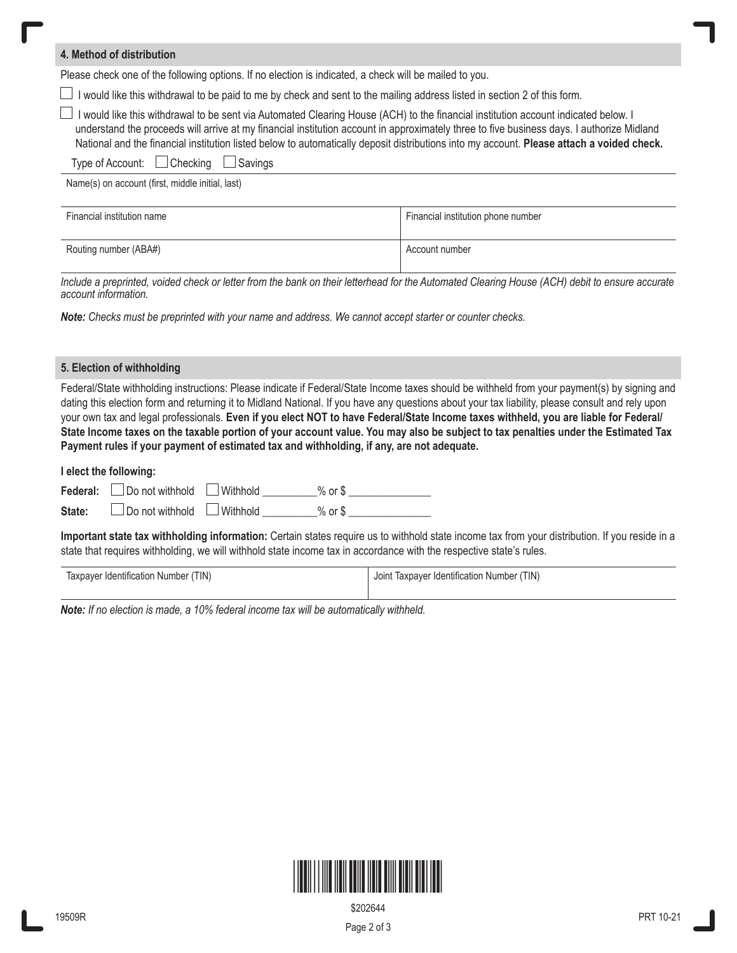| 4. Method of distribution                                                                                                                                                                                                                                                                                                                                                                                                      |                                    |  |
|--------------------------------------------------------------------------------------------------------------------------------------------------------------------------------------------------------------------------------------------------------------------------------------------------------------------------------------------------------------------------------------------------------------------------------|------------------------------------|--|
| Please check one of the following options. If no election is indicated, a check will be mailed to you.                                                                                                                                                                                                                                                                                                                         |                                    |  |
| I would like this withdrawal to be paid to me by check and sent to the mailing address listed in section 2 of this form.                                                                                                                                                                                                                                                                                                       |                                    |  |
| □ I would like this withdrawal to be sent via Automated Clearing House (ACH) to the financial institution account indicated below. I<br>understand the proceeds will arrive at my financial institution account in approximately three to five business days. I authorize Midland<br>National and the financial institution listed below to automatically deposit distributions into my account. Please attach a voided check. |                                    |  |
| Type of Account: $\Box$ Checking $\Box$ Savings                                                                                                                                                                                                                                                                                                                                                                                |                                    |  |
| Name(s) on account (first, middle initial, last)                                                                                                                                                                                                                                                                                                                                                                               |                                    |  |
| Financial institution name                                                                                                                                                                                                                                                                                                                                                                                                     | Financial institution phone number |  |
| Routing number (ABA#)                                                                                                                                                                                                                                                                                                                                                                                                          | Account number                     |  |

*Include a preprinted, voided check or letter from the bank on their letterhead for the Automated Clearing House (ACH) debit to ensure accurate account information.*

*Note: Checks must be preprinted with your name and address. We cannot accept starter or counter checks.* 

#### **5. Election of withholding**

Federal/State withholding instructions: Please indicate if Federal/State Income taxes should be withheld from your payment(s) by signing and dating this election form and returning it to Midland National. If you have any questions about your tax liability, please consult and rely upon your own tax and legal professionals. **Even if you elect NOT to have Federal/State Income taxes withheld, you are liable for Federal/ State Income taxes on the taxable portion of your account value. You may also be subject to tax penalties under the Estimated Tax Payment rules if your payment of estimated tax and withholding, if any, are not adequate.**

#### **I elect the following:**

| Federal: $\Box$ Do not withhold $\Box$ Withhold      | $\%$ or \$ |  |
|------------------------------------------------------|------------|--|
| <b>State:</b> $\Box$ Do not withhold $\Box$ Withhold | % or \$    |  |

**Important state tax withholding information:** Certain states require us to withhold state income tax from your distribution. If you reside in a state that requires withholding, we will withhold state income tax in accordance with the respective state's rules.

| Taxpayer Identification Number (TIN) | Joint Taxpayer Identification Number (TIN) |
|--------------------------------------|--------------------------------------------|
|                                      |                                            |

*Note: If no election is made, a 10% federal income tax will be automatically withheld.*